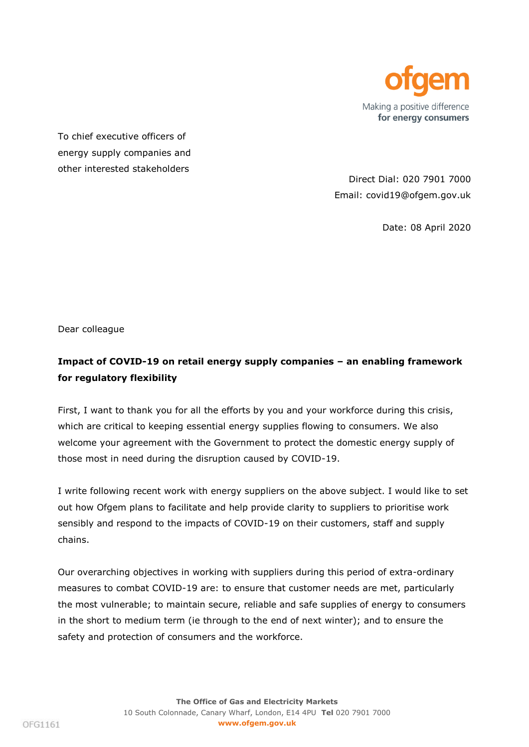

To chief executive officers of energy supply companies and other interested stakeholders

Direct Dial: 020 7901 7000 Email: covid19@ofgem.gov.uk

Date: 08 April 2020

Dear colleague

## **Impact of COVID-19 on retail energy supply companies – an enabling framework for regulatory flexibility**

First, I want to thank you for all the efforts by you and your workforce during this crisis, which are critical to keeping essential energy supplies flowing to consumers. We also welcome your agreement with the Government to protect the domestic energy supply of those most in need during the disruption caused by COVID-19.

I write following recent work with energy suppliers on the above subject. I would like to set out how Ofgem plans to facilitate and help provide clarity to suppliers to prioritise work sensibly and respond to the impacts of COVID-19 on their customers, staff and supply chains.

Our overarching objectives in working with suppliers during this period of extra-ordinary measures to combat COVID-19 are: to ensure that customer needs are met, particularly the most vulnerable; to maintain secure, reliable and safe supplies of energy to consumers in the short to medium term (ie through to the end of next winter); and to ensure the safety and protection of consumers and the workforce.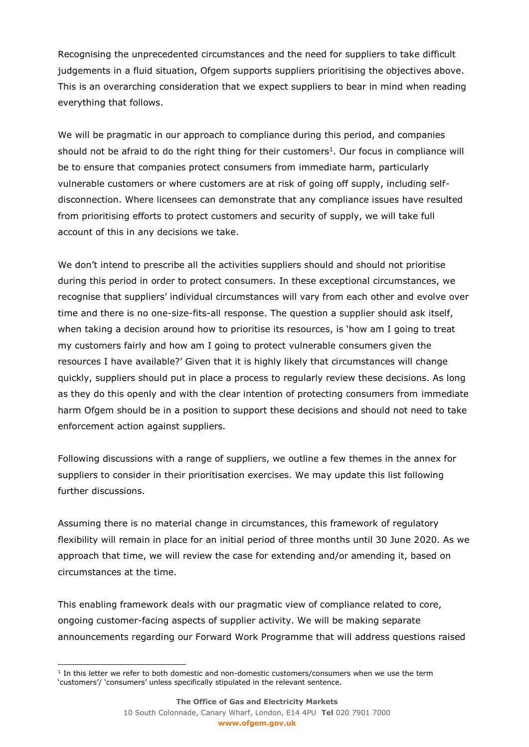Recognising the unprecedented circumstances and the need for suppliers to take difficult judgements in a fluid situation, Ofgem supports suppliers prioritising the objectives above. This is an overarching consideration that we expect suppliers to bear in mind when reading everything that follows.

We will be pragmatic in our approach to compliance during this period, and companies should not be afraid to do the right thing for their customers<sup>1</sup>. Our focus in compliance will be to ensure that companies protect consumers from immediate harm, particularly vulnerable customers or where customers are at risk of going off supply, including selfdisconnection. Where licensees can demonstrate that any compliance issues have resulted from prioritising efforts to protect customers and security of supply, we will take full account of this in any decisions we take.

We don't intend to prescribe all the activities suppliers should and should not prioritise during this period in order to protect consumers. In these exceptional circumstances, we recognise that suppliers' individual circumstances will vary from each other and evolve over time and there is no one-size-fits-all response. The question a supplier should ask itself, when taking a decision around how to prioritise its resources, is 'how am I going to treat my customers fairly and how am I going to protect vulnerable consumers given the resources I have available?' Given that it is highly likely that circumstances will change quickly, suppliers should put in place a process to regularly review these decisions. As long as they do this openly and with the clear intention of protecting consumers from immediate harm Ofgem should be in a position to support these decisions and should not need to take enforcement action against suppliers.

Following discussions with a range of suppliers, we outline a few themes in the annex for suppliers to consider in their prioritisation exercises. We may update this list following further discussions.

Assuming there is no material change in circumstances, this framework of regulatory flexibility will remain in place for an initial period of three months until 30 June 2020. As we approach that time, we will review the case for extending and/or amending it, based on circumstances at the time.

This enabling framework deals with our pragmatic view of compliance related to core, ongoing customer-facing aspects of supplier activity. We will be making separate announcements regarding our Forward Work Programme that will address questions raised

ł

<sup>&</sup>lt;sup>1</sup> In this letter we refer to both domestic and non-domestic customers/consumers when we use the term 'customers'/ 'consumers' unless specifically stipulated in the relevant sentence.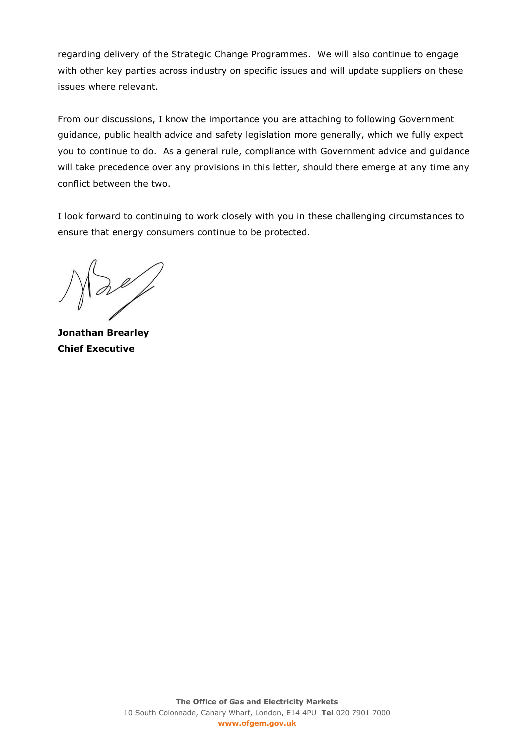regarding delivery of the Strategic Change Programmes. We will also continue to engage with other key parties across industry on specific issues and will update suppliers on these issues where relevant.

From our discussions, I know the importance you are attaching to following Government guidance, public health advice and safety legislation more generally, which we fully expect you to continue to do. As a general rule, compliance with Government advice and guidance will take precedence over any provisions in this letter, should there emerge at any time any conflict between the two.

I look forward to continuing to work closely with you in these challenging circumstances to ensure that energy consumers continue to be protected.

 $\partial\ell$ 

**Jonathan Brearley Chief Executive**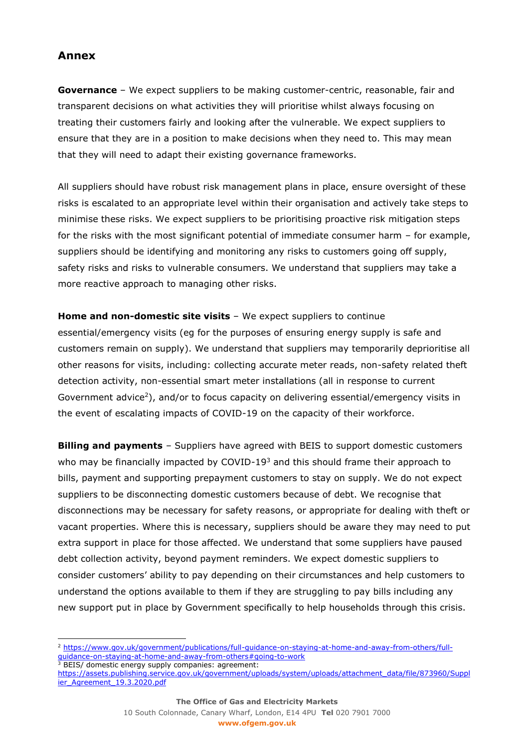## **Annex**

l

**Governance** – We expect suppliers to be making customer-centric, reasonable, fair and transparent decisions on what activities they will prioritise whilst always focusing on treating their customers fairly and looking after the vulnerable. We expect suppliers to ensure that they are in a position to make decisions when they need to. This may mean that they will need to adapt their existing governance frameworks.

All suppliers should have robust risk management plans in place, ensure oversight of these risks is escalated to an appropriate level within their organisation and actively take steps to minimise these risks. We expect suppliers to be prioritising proactive risk mitigation steps for the risks with the most significant potential of immediate consumer harm – for example, suppliers should be identifying and monitoring any risks to customers going off supply, safety risks and risks to vulnerable consumers. We understand that suppliers may take a more reactive approach to managing other risks.

**Home and non-domestic site visits** – We expect suppliers to continue essential/emergency visits (eg for the purposes of ensuring energy supply is safe and customers remain on supply). We understand that suppliers may temporarily deprioritise all other reasons for visits, including: collecting accurate meter reads, non-safety related theft detection activity, non-essential smart meter installations (all in response to current Government advice<sup>2</sup>), and/or to focus capacity on delivering essential/emergency visits in the event of escalating impacts of COVID-19 on the capacity of their workforce.

**Billing and payments** – Suppliers have agreed with BEIS to support domestic customers who may be financially impacted by COVID-19 $3$  and this should frame their approach to bills, payment and supporting prepayment customers to stay on supply. We do not expect suppliers to be disconnecting domestic customers because of debt. We recognise that disconnections may be necessary for safety reasons, or appropriate for dealing with theft or vacant properties. Where this is necessary, suppliers should be aware they may need to put extra support in place for those affected. We understand that some suppliers have paused debt collection activity, beyond payment reminders. We expect domestic suppliers to consider customers' ability to pay depending on their circumstances and help customers to understand the options available to them if they are struggling to pay bills including any new support put in place by Government specifically to help households through this crisis.

[https://assets.publishing.service.gov.uk/government/uploads/system/uploads/attachment\\_data/file/873960/Suppl](https://assets.publishing.service.gov.uk/government/uploads/system/uploads/attachment_data/file/873960/Supplier_Agreement_19.3.2020.pdf) [ier\\_Agreement\\_19.3.2020.pdf](https://assets.publishing.service.gov.uk/government/uploads/system/uploads/attachment_data/file/873960/Supplier_Agreement_19.3.2020.pdf)

<sup>2</sup> [https://www.gov.uk/government/publications/full-guidance-on-staying-at-home-and-away-from-others/full](https://www.gov.uk/government/publications/full-guidance-on-staying-at-home-and-away-from-others/full-guidance-on-staying-at-home-and-away-from-others#going-to-work)[guidance-on-staying-at-home-and-away-from-others#going-to-work](https://www.gov.uk/government/publications/full-guidance-on-staying-at-home-and-away-from-others/full-guidance-on-staying-at-home-and-away-from-others#going-to-work)  <sup>3</sup> BEIS/ domestic energy supply companies: agreement: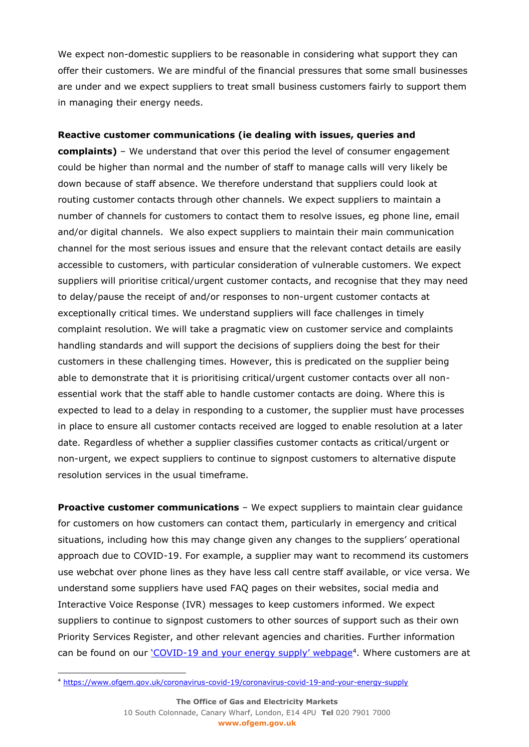We expect non-domestic suppliers to be reasonable in considering what support they can offer their customers. We are mindful of the financial pressures that some small businesses are under and we expect suppliers to treat small business customers fairly to support them in managing their energy needs.

## **Reactive customer communications (ie dealing with issues, queries and**

**complaints)** – We understand that over this period the level of consumer engagement could be higher than normal and the number of staff to manage calls will very likely be down because of staff absence. We therefore understand that suppliers could look at routing customer contacts through other channels. We expect suppliers to maintain a number of channels for customers to contact them to resolve issues, eg phone line, email and/or digital channels. We also expect suppliers to maintain their main communication channel for the most serious issues and ensure that the relevant contact details are easily accessible to customers, with particular consideration of vulnerable customers. We expect suppliers will prioritise critical/urgent customer contacts, and recognise that they may need to delay/pause the receipt of and/or responses to non-urgent customer contacts at exceptionally critical times. We understand suppliers will face challenges in timely complaint resolution. We will take a pragmatic view on customer service and complaints handling standards and will support the decisions of suppliers doing the best for their customers in these challenging times. However, this is predicated on the supplier being able to demonstrate that it is prioritising critical/urgent customer contacts over all nonessential work that the staff able to handle customer contacts are doing. Where this is expected to lead to a delay in responding to a customer, the supplier must have processes in place to ensure all customer contacts received are logged to enable resolution at a later date. Regardless of whether a supplier classifies customer contacts as critical/urgent or non-urgent, we expect suppliers to continue to signpost customers to alternative dispute resolution services in the usual timeframe.

**Proactive customer communications** - We expect suppliers to maintain clear quidance for customers on how customers can contact them, particularly in emergency and critical situations, including how this may change given any changes to the suppliers' operational approach due to COVID-19. For example, a supplier may want to recommend its customers use webchat over phone lines as they have less call centre staff available, or vice versa. We understand some suppliers have used FAQ pages on their websites, social media and Interactive Voice Response (IVR) messages to keep customers informed. We expect suppliers to continue to signpost customers to other sources of support such as their own Priority Services Register, and other relevant agencies and charities. Further information can be found on our 'COVID-[19 and your energy supply' webpage](https://www.ofgem.gov.uk/coronavirus-covid-19/coronavirus-covid-19-and-your-energy-supply)<sup>4</sup>. Where customers are at

ł

<sup>4</sup> <https://www.ofgem.gov.uk/coronavirus-covid-19/coronavirus-covid-19-and-your-energy-supply>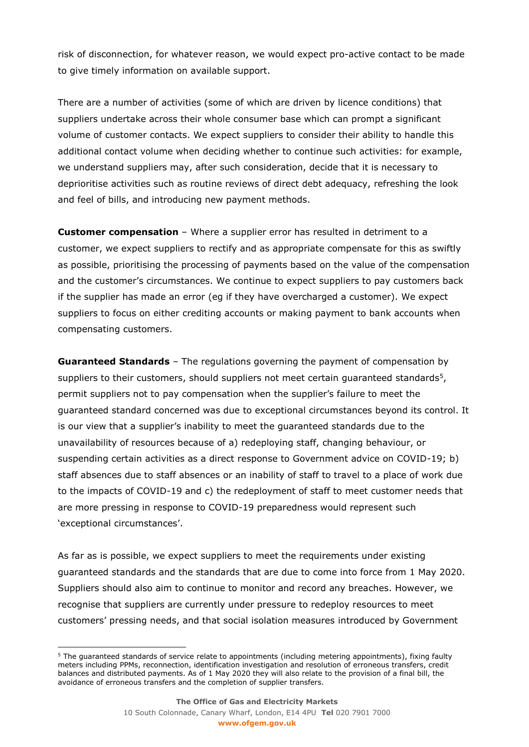risk of disconnection, for whatever reason, we would expect pro-active contact to be made to give timely information on available support.

There are a number of activities (some of which are driven by licence conditions) that suppliers undertake across their whole consumer base which can prompt a significant volume of customer contacts. We expect suppliers to consider their ability to handle this additional contact volume when deciding whether to continue such activities: for example, we understand suppliers may, after such consideration, decide that it is necessary to deprioritise activities such as routine reviews of direct debt adequacy, refreshing the look and feel of bills, and introducing new payment methods.

**Customer compensation** – Where a supplier error has resulted in detriment to a customer, we expect suppliers to rectify and as appropriate compensate for this as swiftly as possible, prioritising the processing of payments based on the value of the compensation and the customer's circumstances. We continue to expect suppliers to pay customers back if the supplier has made an error (eg if they have overcharged a customer). We expect suppliers to focus on either crediting accounts or making payment to bank accounts when compensating customers.

**Guaranteed Standards** – The regulations governing the payment of compensation by suppliers to their customers, should suppliers not meet certain guaranteed standards<sup>5</sup>, permit suppliers not to pay compensation when the supplier's failure to meet the guaranteed standard concerned was due to exceptional circumstances beyond its control. It is our view that a supplier's inability to meet the guaranteed standards due to the unavailability of resources because of a) redeploying staff, changing behaviour, or suspending certain activities as a direct response to Government advice on COVID-19; b) staff absences due to staff absences or an inability of staff to travel to a place of work due to the impacts of COVID-19 and c) the redeployment of staff to meet customer needs that are more pressing in response to COVID-19 preparedness would represent such 'exceptional circumstances'.

As far as is possible, we expect suppliers to meet the requirements under existing guaranteed standards and the standards that are due to come into force from 1 May 2020. Suppliers should also aim to continue to monitor and record any breaches. However, we recognise that suppliers are currently under pressure to redeploy resources to meet customers' pressing needs, and that social isolation measures introduced by Government

ł

<sup>&</sup>lt;sup>5</sup> The guaranteed standards of service relate to appointments (including metering appointments), fixing faulty meters including PPMs, reconnection, identification investigation and resolution of erroneous transfers, credit balances and distributed payments. As of 1 May 2020 they will also relate to the provision of a final bill, the avoidance of erroneous transfers and the completion of supplier transfers.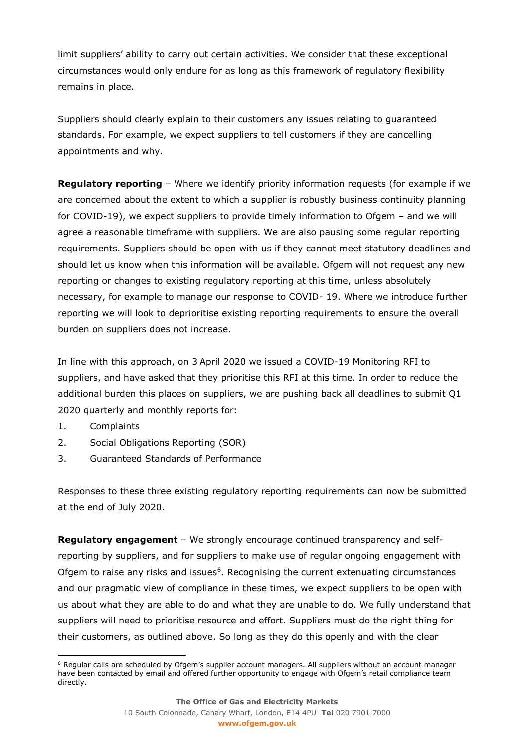limit suppliers' ability to carry out certain activities. We consider that these exceptional circumstances would only endure for as long as this framework of regulatory flexibility remains in place.

Suppliers should clearly explain to their customers any issues relating to guaranteed standards. For example, we expect suppliers to tell customers if they are cancelling appointments and why.

**Regulatory reporting** – Where we identify priority information requests (for example if we are concerned about the extent to which a supplier is robustly business continuity planning for COVID-19), we expect suppliers to provide timely information to Ofgem – and we will agree a reasonable timeframe with suppliers. We are also pausing some regular reporting requirements. Suppliers should be open with us if they cannot meet statutory deadlines and should let us know when this information will be available. Ofgem will not request any new reporting or changes to existing regulatory reporting at this time, unless absolutely necessary, for example to manage our response to COVID- 19. Where we introduce further reporting we will look to deprioritise existing reporting requirements to ensure the overall burden on suppliers does not increase.

In line with this approach, on 3 April 2020 we issued a COVID-19 Monitoring RFI to suppliers, and have asked that they prioritise this RFI at this time. In order to reduce the additional burden this places on suppliers, we are pushing back all deadlines to submit Q1 2020 quarterly and monthly reports for:

- 1. Complaints
- 2. Social Obligations Reporting (SOR)
- 3. Guaranteed Standards of Performance

Responses to these three existing regulatory reporting requirements can now be submitted at the end of July 2020.

**Regulatory engagement** – We strongly encourage continued transparency and selfreporting by suppliers, and for suppliers to make use of regular ongoing engagement with Ofgem to raise any risks and issues<sup>6</sup>. Recognising the current extenuating circumstances and our pragmatic view of compliance in these times, we expect suppliers to be open with us about what they are able to do and what they are unable to do. We fully understand that suppliers will need to prioritise resource and effort. Suppliers must do the right thing for their customers, as outlined above. So long as they do this openly and with the clear

ł <sup>6</sup> Regular calls are scheduled by Ofgem's supplier account managers. All suppliers without an account manager have been contacted by email and offered further opportunity to engage with Ofgem's retail compliance team directly.